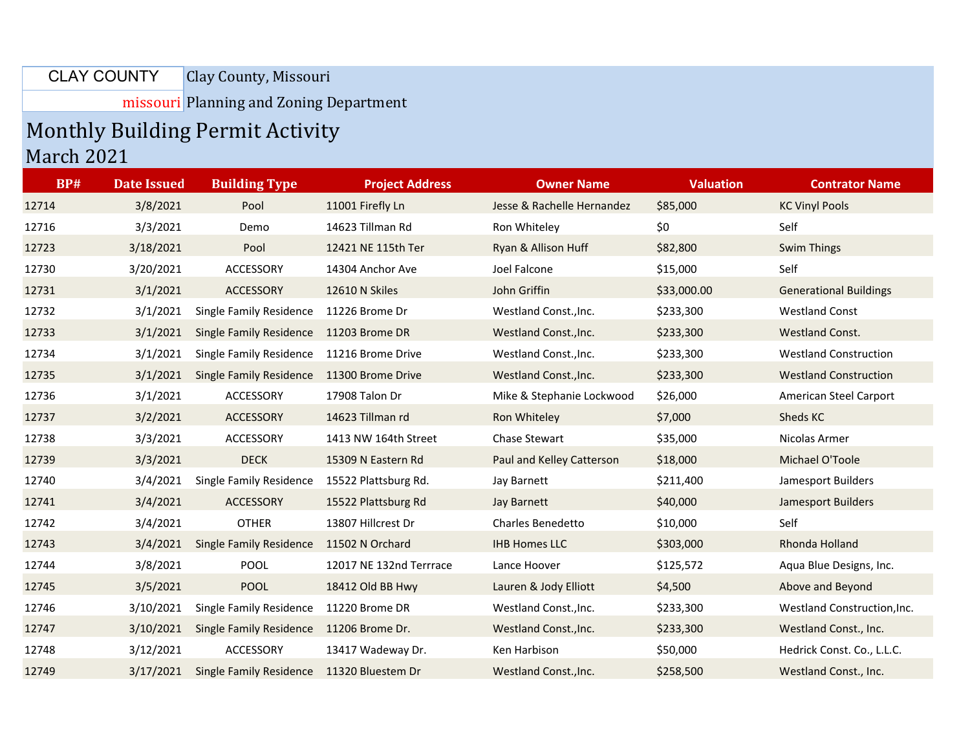Clay County, Missouri CLAY COUNTY

missouri Planning and Zoning Department

## Monthly Building Permit Activity March 2021

| <b>BP#</b> | <b>Date Issued</b> | <b>Building Type</b>           | <b>Project Address</b>  | <b>Owner Name</b>          | <b>Valuation</b> | <b>Contrator Name</b>         |
|------------|--------------------|--------------------------------|-------------------------|----------------------------|------------------|-------------------------------|
| 12714      | 3/8/2021           | Pool                           | 11001 Firefly Ln        | Jesse & Rachelle Hernandez | \$85,000         | <b>KC Vinyl Pools</b>         |
| 12716      | 3/3/2021           | Demo                           | 14623 Tillman Rd        | Ron Whiteley               | \$0              | Self                          |
| 12723      | 3/18/2021          | Pool                           | 12421 NE 115th Ter      | Ryan & Allison Huff        | \$82,800         | <b>Swim Things</b>            |
| 12730      | 3/20/2021          | ACCESSORY                      | 14304 Anchor Ave        | Joel Falcone               | \$15,000         | Self                          |
| 12731      | 3/1/2021           | ACCESSORY                      | 12610 N Skiles          | John Griffin               | \$33,000.00      | <b>Generational Buildings</b> |
| 12732      | 3/1/2021           | Single Family Residence        | 11226 Brome Dr          | Westland Const., Inc.      | \$233,300        | <b>Westland Const</b>         |
| 12733      | 3/1/2021           | Single Family Residence        | 11203 Brome DR          | Westland Const., Inc.      | \$233,300        | Westland Const.               |
| 12734      | 3/1/2021           | Single Family Residence        | 11216 Brome Drive       | Westland Const., Inc.      | \$233,300        | <b>Westland Construction</b>  |
| 12735      | 3/1/2021           | Single Family Residence        | 11300 Brome Drive       | Westland Const., Inc.      | \$233,300        | <b>Westland Construction</b>  |
| 12736      | 3/1/2021           | ACCESSORY                      | 17908 Talon Dr          | Mike & Stephanie Lockwood  | \$26,000         | American Steel Carport        |
| 12737      | 3/2/2021           | ACCESSORY                      | 14623 Tillman rd        | Ron Whiteley               | \$7,000          | Sheds KC                      |
| 12738      | 3/3/2021           | ACCESSORY                      | 1413 NW 164th Street    | Chase Stewart              | \$35,000         | Nicolas Armer                 |
| 12739      | 3/3/2021           | <b>DECK</b>                    | 15309 N Eastern Rd      | Paul and Kelley Catterson  | \$18,000         | Michael O'Toole               |
| 12740      | 3/4/2021           | <b>Single Family Residence</b> | 15522 Plattsburg Rd.    | Jay Barnett                | \$211,400        | Jamesport Builders            |
| 12741      | 3/4/2021           | ACCESSORY                      | 15522 Plattsburg Rd     | Jay Barnett                | \$40,000         | <b>Jamesport Builders</b>     |
| 12742      | 3/4/2021           | <b>OTHER</b>                   | 13807 Hillcrest Dr      | <b>Charles Benedetto</b>   | \$10,000         | Self                          |
| 12743      | 3/4/2021           | <b>Single Family Residence</b> | 11502 N Orchard         | <b>IHB Homes LLC</b>       | \$303,000        | Rhonda Holland                |
| 12744      | 3/8/2021           | <b>POOL</b>                    | 12017 NE 132nd Terrrace | Lance Hoover               | \$125,572        | Aqua Blue Designs, Inc.       |
| 12745      | 3/5/2021           | <b>POOL</b>                    | 18412 Old BB Hwy        | Lauren & Jody Elliott      | \$4,500          | Above and Beyond              |
| 12746      | 3/10/2021          | Single Family Residence        | 11220 Brome DR          | Westland Const., Inc.      | \$233,300        | Westland Construction, Inc.   |
| 12747      | 3/10/2021          | <b>Single Family Residence</b> | 11206 Brome Dr.         | Westland Const., Inc.      | \$233,300        | Westland Const., Inc.         |
| 12748      | 3/12/2021          | <b>ACCESSORY</b>               | 13417 Wadeway Dr.       | Ken Harbison               | \$50,000         | Hedrick Const. Co., L.L.C.    |
| 12749      | 3/17/2021          | <b>Single Family Residence</b> | 11320 Bluestem Dr       | Westland Const., Inc.      | \$258,500        | Westland Const., Inc.         |